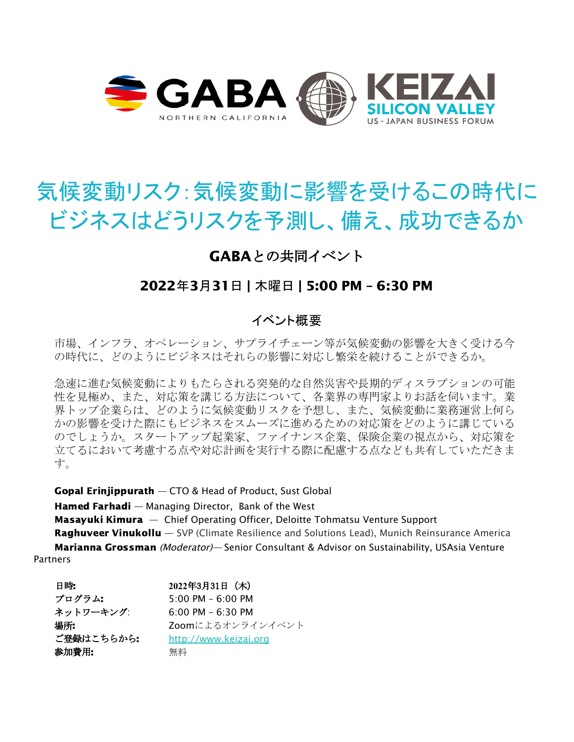

# 気候変動リスク:気候変動に影響を受けるこの時代に ビジネスはどうリスクを予測し、備え、成功できるか

# GABAとの共同イベント

## 2022年3月31日 | 木曜日 | 5:00 PM – 6:30 PM

## イベント概要

市場、インフラ、オペレーション、サプライチェーン等が気候変動の影響を大きく受ける今 の時代に、どのようにビジネスはそれらの影響に対応し繁栄を続けることができるか。

急速に進む気候変動によりもたらされる突発的な自然災害や長期的ディスラプションの可能 性を見極め、また、対応策を講じる方法について、各業界の専門家よりお話を伺います。業 界トップ企業らは、どのように気候変動リスクを予想し、また、気候変動に業務運営上何ら かの影響を受けた際にもビジネスをスムーズに進めるための対応策をどのように講じている のでしょうか。スタートアップ起業家、ファイナンス企業、保険企業の視点から、対応策を 立てるにおいて考慮する点や対応計画を実行する際に配慮する点なども共有していただきま す。

Gopal Erinjippurath — CTO & Head of Product, Sust Global

Hamed Farhadi — Managing Director, Bank of the West

Masayuki Kimura - Chief Operating Officer, Deloitte Tohmatsu Venture Support **Raghuveer Vinukollu** — SVP (Climate Resilience and Solutions Lead), Munich Reinsurance America Marianna Grossman (Moderator)— Senior Consultant & Advisor on Sustainability, USAsia Venture Partners

| 日時:        | 2022年3月31日 (木)                      |
|------------|-------------------------------------|
| プログラム:     | $5:00 \text{ PM} - 6:00 \text{ PM}$ |
| ネットワーキング:  | $6:00$ PM $-6:30$ PM                |
| 場所:        | Zoomによるオンラインイベント                    |
| ご登録はこちらから: | http://www.keizai.org               |
| 参加費用:      | 無料                                  |